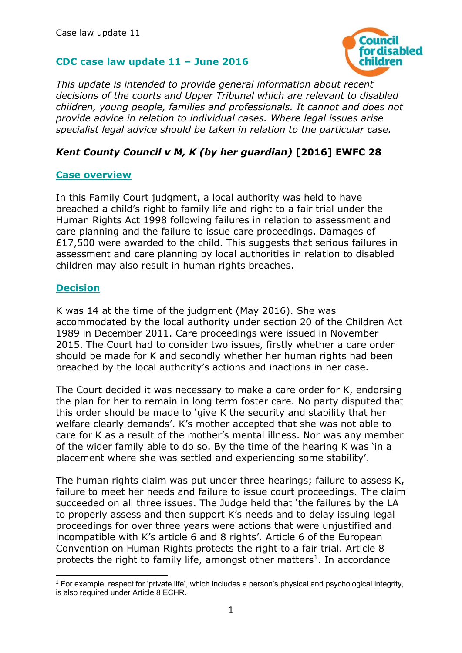## **CDC case law update 11 – June 2016**



*This update is intended to provide general information about recent decisions of the courts and Upper Tribunal which are relevant to disabled children, young people, families and professionals. It cannot and does not provide advice in relation to individual cases. Where legal issues arise specialist legal advice should be taken in relation to the particular case.*

## *Kent County Council v M, K (by her guardian)* **[2016] EWFC 28**

#### **Case overview**

In this Family Court judgment, a local authority was held to have breached a child's right to family life and right to a fair trial under the Human Rights Act 1998 following failures in relation to assessment and care planning and the failure to issue care proceedings. Damages of £17,500 were awarded to the child. This suggests that serious failures in assessment and care planning by local authorities in relation to disabled children may also result in human rights breaches.

### **Decision**

K was 14 at the time of the judgment (May 2016). She was accommodated by the local authority under section 20 of the Children Act 1989 in December 2011. Care proceedings were issued in November 2015. The Court had to consider two issues, firstly whether a care order should be made for K and secondly whether her human rights had been breached by the local authority's actions and inactions in her case.

The Court decided it was necessary to make a care order for K, endorsing the plan for her to remain in long term foster care. No party disputed that this order should be made to 'give K the security and stability that her welfare clearly demands'. K's mother accepted that she was not able to care for K as a result of the mother's mental illness. Nor was any member of the wider family able to do so. By the time of the hearing K was 'in a placement where she was settled and experiencing some stability'.

The human rights claim was put under three hearings; failure to assess K, failure to meet her needs and failure to issue court proceedings. The claim succeeded on all three issues. The Judge held that 'the failures by the LA to properly assess and then support K's needs and to delay issuing legal proceedings for over three years were actions that were unjustified and incompatible with K's article 6 and 8 rights'. Article 6 of the European Convention on Human Rights protects the right to a fair trial. Article 8 protects the right to family life, amongst other matters<sup>1</sup>. In accordance

**<sup>.</sup>** <sup>1</sup> For example, respect for 'private life', which includes a person's physical and psychological integrity, is also required under Article 8 ECHR.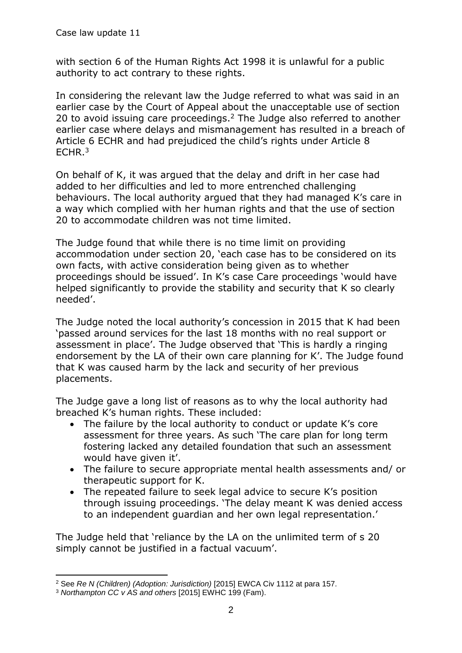with section 6 of the Human Rights Act 1998 it is unlawful for a public authority to act contrary to these rights.

In considering the relevant law the Judge referred to what was said in an earlier case by the Court of Appeal about the unacceptable use of section 20 to avoid issuing care proceedings.<sup>2</sup> The Judge also referred to another earlier case where delays and mismanagement has resulted in a breach of Article 6 ECHR and had prejudiced the child's rights under Article 8 ECHR.<sup>3</sup>

On behalf of K, it was argued that the delay and drift in her case had added to her difficulties and led to more entrenched challenging behaviours. The local authority argued that they had managed K's care in a way which complied with her human rights and that the use of section 20 to accommodate children was not time limited.

The Judge found that while there is no time limit on providing accommodation under section 20, 'each case has to be considered on its own facts, with active consideration being given as to whether proceedings should be issued'. In K's case Care proceedings 'would have helped significantly to provide the stability and security that K so clearly needed'.

The Judge noted the local authority's concession in 2015 that K had been 'passed around services for the last 18 months with no real support or assessment in place'. The Judge observed that 'This is hardly a ringing endorsement by the LA of their own care planning for K'. The Judge found that K was caused harm by the lack and security of her previous placements.

The Judge gave a long list of reasons as to why the local authority had breached K's human rights. These included:

- The failure by the local authority to conduct or update K's core assessment for three years. As such 'The care plan for long term fostering lacked any detailed foundation that such an assessment would have given it'.
- The failure to secure appropriate mental health assessments and/ or therapeutic support for K.
- The repeated failure to seek legal advice to secure K's position through issuing proceedings. 'The delay meant K was denied access to an independent guardian and her own legal representation.'

The Judge held that 'reliance by the LA on the unlimited term of s 20 simply cannot be justified in a factual vacuum'.

**<sup>.</sup>** <sup>2</sup> See *Re N (Children) (Adoption: Jurisdiction)* [2015] EWCA Civ 1112 at para 157.

<sup>3</sup> *Northampton CC v AS and others* [2015] EWHC 199 (Fam).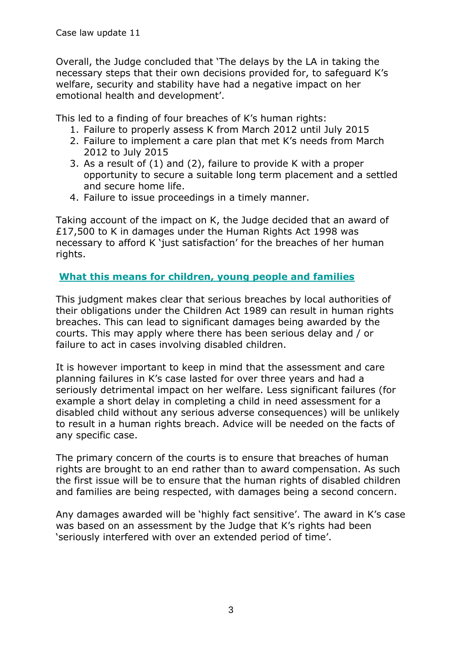Overall, the Judge concluded that 'The delays by the LA in taking the necessary steps that their own decisions provided for, to safeguard K's welfare, security and stability have had a negative impact on her emotional health and development'.

This led to a finding of four breaches of K's human rights:

- 1. Failure to properly assess K from March 2012 until July 2015
- 2. Failure to implement a care plan that met K's needs from March 2012 to July 2015
- 3. As a result of (1) and (2), failure to provide K with a proper opportunity to secure a suitable long term placement and a settled and secure home life.
- 4. Failure to issue proceedings in a timely manner.

Taking account of the impact on K, the Judge decided that an award of £17,500 to K in damages under the Human Rights Act 1998 was necessary to afford K 'just satisfaction' for the breaches of her human rights.

# **What this means for children, young people and families**

This judgment makes clear that serious breaches by local authorities of their obligations under the Children Act 1989 can result in human rights breaches. This can lead to significant damages being awarded by the courts. This may apply where there has been serious delay and / or failure to act in cases involving disabled children.

It is however important to keep in mind that the assessment and care planning failures in K's case lasted for over three years and had a seriously detrimental impact on her welfare. Less significant failures (for example a short delay in completing a child in need assessment for a disabled child without any serious adverse consequences) will be unlikely to result in a human rights breach. Advice will be needed on the facts of any specific case.

The primary concern of the courts is to ensure that breaches of human rights are brought to an end rather than to award compensation. As such the first issue will be to ensure that the human rights of disabled children and families are being respected, with damages being a second concern.

Any damages awarded will be 'highly fact sensitive'. The award in K's case was based on an assessment by the Judge that K's rights had been 'seriously interfered with over an extended period of time'.